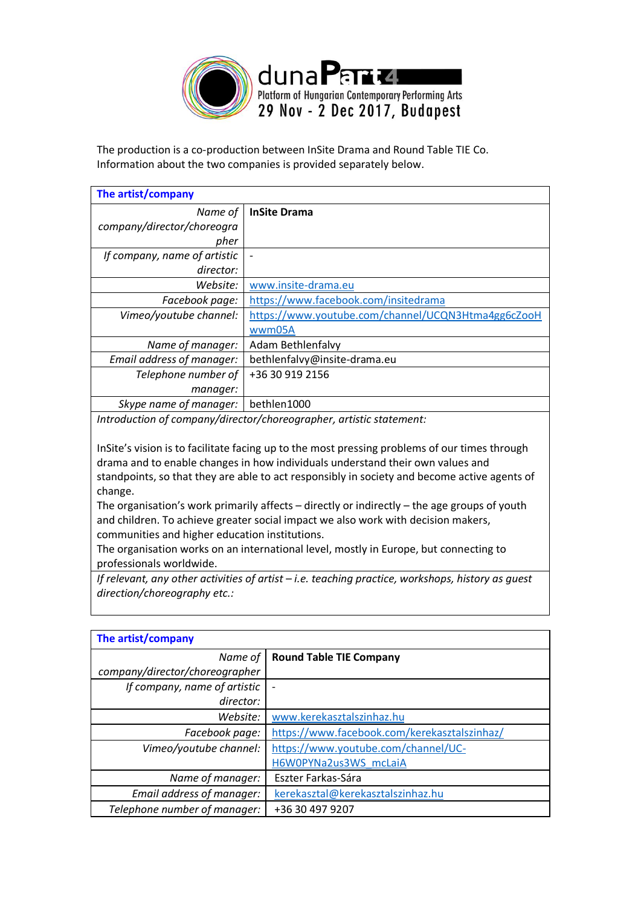

The production is a co-production between InSite Drama and Round Table TIE Co. Information about the two companies is provided separately below.

| The artist/company           |                                                    |
|------------------------------|----------------------------------------------------|
| Name of                      | <b>InSite Drama</b>                                |
| company/director/choreogra   |                                                    |
| pher                         |                                                    |
| If company, name of artistic |                                                    |
| director:                    |                                                    |
| Website:                     | www.insite-drama.eu                                |
| Facebook page:               | https://www.facebook.com/insitedrama               |
| Vimeo/youtube channel:       | https://www.youtube.com/channel/UCQN3Htma4gg6cZooH |
|                              | wwm05A                                             |
| Name of manager:             | Adam Bethlenfalvy                                  |
| Email address of manager:    | bethlenfalvy@insite-drama.eu                       |
| Telephone number of          | +36 30 919 2156                                    |
| manager:                     |                                                    |
| Skype name of manager:       | bethlen1000                                        |

*Introduction of company/director/choreographer, artistic statement:*

InSite's vision is to facilitate facing up to the most pressing problems of our times through drama and to enable changes in how individuals understand their own values and standpoints, so that they are able to act responsibly in society and become active agents of change.

The organisation's work primarily affects – directly or indirectly – the age groups of youth and children. To achieve greater social impact we also work with decision makers, communities and higher education institutions.

The organisation works on an international level, mostly in Europe, but connecting to professionals worldwide.

*If relevant, any other activities of artist – i.e. teaching practice, workshops, history as guest direction/choreography etc.:*

| The artist/company             |                                              |  |  |  |
|--------------------------------|----------------------------------------------|--|--|--|
| Name of                        | <b>Round Table TIE Company</b>               |  |  |  |
| company/director/choreographer |                                              |  |  |  |
| If company, name of artistic   |                                              |  |  |  |
| director:                      |                                              |  |  |  |
| Website:                       | www.kerekasztalszinhaz.hu                    |  |  |  |
| Facebook page:                 | https://www.facebook.com/kerekasztalszinhaz/ |  |  |  |
| Vimeo/youtube channel:         | https://www.youtube.com/channel/UC-          |  |  |  |
|                                | H6W0PYNa2us3WS mcLaiA                        |  |  |  |
| Name of manager:               | Eszter Farkas-Sára                           |  |  |  |
| Email address of manager:      | kerekasztal@kerekasztalszinhaz.hu            |  |  |  |
| Telephone number of manager:   | +36 30 497 9207                              |  |  |  |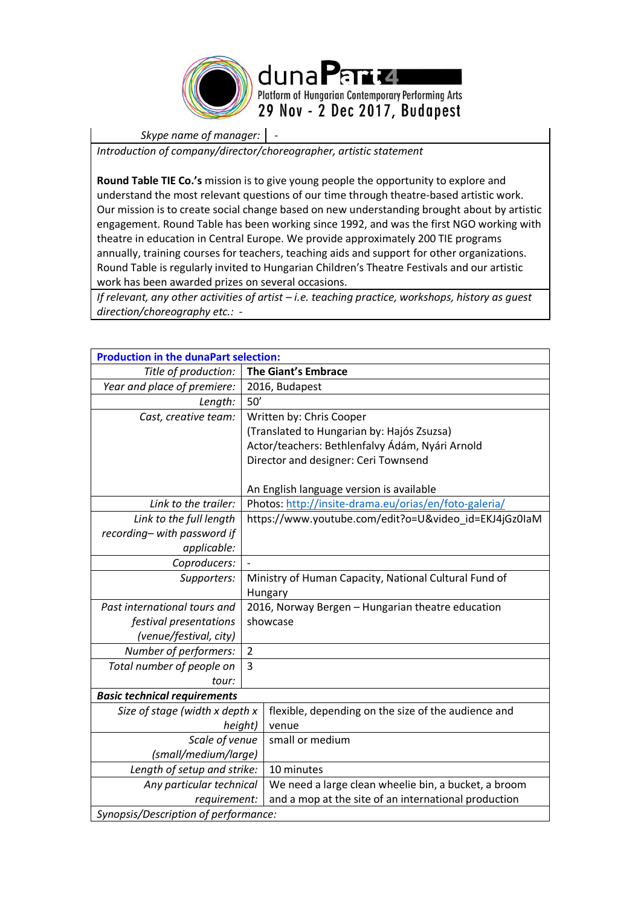

*Skype name of manager:* | -

*Introduction of company/director/choreographer, artistic statement*

**Round Table TIE Co.'s** mission is to give young people the opportunity to explore and understand the most relevant questions of our time through theatre-based artistic work. Our mission is to create social change based on new understanding brought about by artistic engagement. Round Table has been working since 1992, and was the first NGO working with theatre in education in Central Europe. We provide approximately 200 TIE programs annually, training courses for teachers, teaching aids and support for other organizations. Round Table is regularly invited to Hungarian Children's Theatre Festivals and our artistic work has been awarded prizes on several occasions.

*If relevant, any other activities of artist – i.e. teaching practice, workshops, history as guest direction/choreography etc.: -*

| <b>Production in the dunaPart selection:</b> |                            |                                                       |  |
|----------------------------------------------|----------------------------|-------------------------------------------------------|--|
| Title of production:                         | <b>The Giant's Embrace</b> |                                                       |  |
| Year and place of premiere:                  |                            | 2016, Budapest                                        |  |
| Length:                                      | 50'                        |                                                       |  |
| Cast, creative team:                         | Written by: Chris Cooper   |                                                       |  |
|                                              |                            | (Translated to Hungarian by: Hajós Zsuzsa)            |  |
|                                              |                            | Actor/teachers: Bethlenfalvy Ádám, Nyári Arnold       |  |
|                                              |                            | Director and designer: Ceri Townsend                  |  |
|                                              |                            |                                                       |  |
|                                              |                            | An English language version is available              |  |
| Link to the trailer:                         |                            | Photos: http://insite-drama.eu/orias/en/foto-galeria/ |  |
| Link to the full length                      |                            | https://www.youtube.com/edit?o=U&video id=EKJ4jGz0laM |  |
| recording-with password if                   |                            |                                                       |  |
| applicable:                                  |                            |                                                       |  |
| Coproducers:                                 |                            |                                                       |  |
| Supporters:                                  |                            | Ministry of Human Capacity, National Cultural Fund of |  |
|                                              | Hungary                    |                                                       |  |
| Past international tours and                 |                            | 2016, Norway Bergen - Hungarian theatre education     |  |
| festival presentations                       | showcase                   |                                                       |  |
| (venue/festival, city)                       |                            |                                                       |  |
| Number of performers:                        | $\overline{2}$             |                                                       |  |
| Total number of people on                    | 3                          |                                                       |  |
| tour:                                        |                            |                                                       |  |
| <b>Basic technical requirements</b>          |                            |                                                       |  |
| Size of stage (width x depth x               |                            | flexible, depending on the size of the audience and   |  |
| height)                                      |                            | venue                                                 |  |
| Scale of venue                               |                            | small or medium                                       |  |
| (small/medium/large)                         |                            |                                                       |  |
| Length of setup and strike:                  |                            | 10 minutes                                            |  |
| Any particular technical                     |                            | We need a large clean wheelie bin, a bucket, a broom  |  |
| requirement:                                 |                            | and a mop at the site of an international production  |  |
| Synopsis/Description of performance:         |                            |                                                       |  |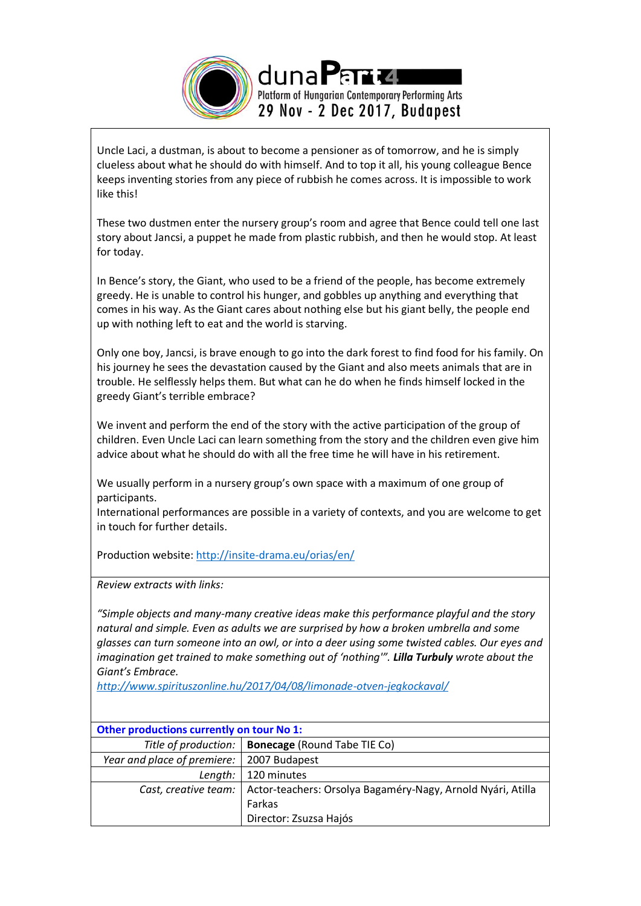

Uncle Laci, a dustman, is about to become a pensioner as of tomorrow, and he is simply clueless about what he should do with himself. And to top it all, his young colleague Bence keeps inventing stories from any piece of rubbish he comes across. It is impossible to work like this!

These two dustmen enter the nursery group's room and agree that Bence could tell one last story about Jancsi, a puppet he made from plastic rubbish, and then he would stop. At least for today.

In Bence's story, the Giant, who used to be a friend of the people, has become extremely greedy. He is unable to control his hunger, and gobbles up anything and everything that comes in his way. As the Giant cares about nothing else but his giant belly, the people end up with nothing left to eat and the world is starving.

Only one boy, Jancsi, is brave enough to go into the dark forest to find food for his family. On his journey he sees the devastation caused by the Giant and also meets animals that are in trouble. He selflessly helps them. But what can he do when he finds himself locked in the greedy Giant's terrible embrace?

We invent and perform the end of the story with the active participation of the group of children. Even Uncle Laci can learn something from the story and the children even give him advice about what he should do with all the free time he will have in his retirement.

We usually perform in a nursery group's own space with a maximum of one group of participants.

International performances are possible in a variety of contexts, and you are welcome to get in touch for further details.

Production website:<http://insite-drama.eu/orias/en/>

*Review extracts with links:*

*"Simple objects and many-many creative ideas make this performance playful and the story natural and simple. Even as adults we are surprised by how a broken umbrella and some glasses can turn someone into an owl, or into a deer using some twisted cables. Our eyes and imagination get trained to make something out of 'nothing'". Lilla Turbuly wrote about the Giant's Embrace.* 

*<http://www.spirituszonline.hu/2017/04/08/limonade-otven-jegkockaval/>*

| <b>Other productions currently on tour No 1:</b> |                                                                                    |  |  |
|--------------------------------------------------|------------------------------------------------------------------------------------|--|--|
|                                                  | Title of production:   Bonecage (Round Tabe TIE Co)                                |  |  |
| Year and place of premiere:   2007 Budapest      |                                                                                    |  |  |
|                                                  | Length:   120 minutes                                                              |  |  |
|                                                  | Cast, creative team:   Actor-teachers: Orsolya Bagaméry-Nagy, Arnold Nyári, Atilla |  |  |
|                                                  | Farkas                                                                             |  |  |
|                                                  | Director: Zsuzsa Hajós                                                             |  |  |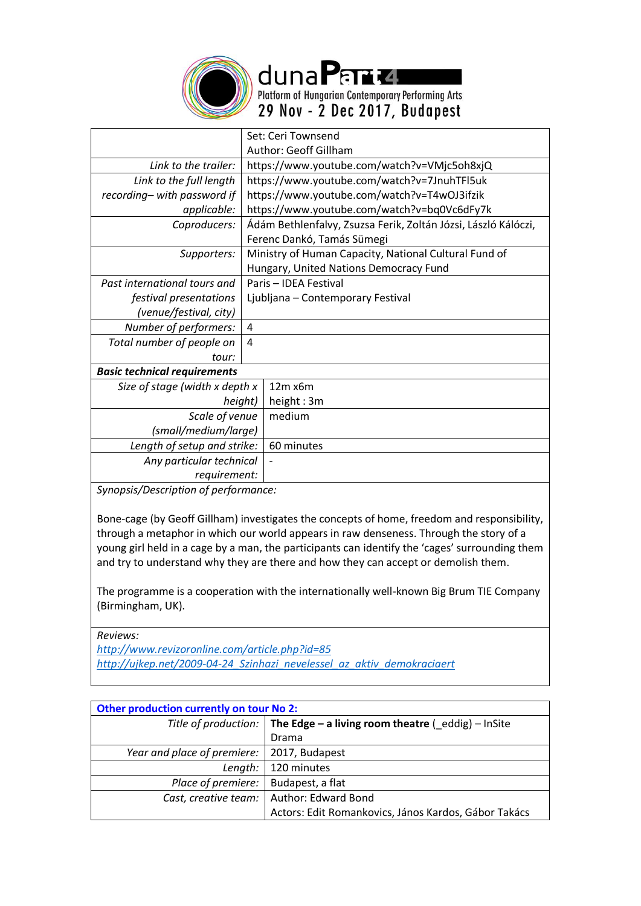

dunaParra Platform of Hungarian Contemporary Performing Arts<br>29 Nov - 2 Dec 2017, Budapest

|                                      |                                                                | Set: Ceri Townsend                     |  |
|--------------------------------------|----------------------------------------------------------------|----------------------------------------|--|
|                                      |                                                                | Author: Geoff Gillham                  |  |
| Link to the trailer:                 | https://www.youtube.com/watch?v=VMjc5oh8xjQ                    |                                        |  |
| Link to the full length              | https://www.youtube.com/watch?v=7JnuhTFI5uk                    |                                        |  |
| recording-with password if           | https://www.youtube.com/watch?v=T4wOJ3ifzik                    |                                        |  |
| applicable:                          | https://www.youtube.com/watch?v=bq0Vc6dFy7k                    |                                        |  |
| Coproducers:                         | Ádám Bethlenfalvy, Zsuzsa Ferik, Zoltán Józsi, László Kálóczi, |                                        |  |
|                                      |                                                                | Ferenc Dankó, Tamás Sümegi             |  |
| Supporters:                          | Ministry of Human Capacity, National Cultural Fund of          |                                        |  |
|                                      |                                                                | Hungary, United Nations Democracy Fund |  |
| Past international tours and         |                                                                | Paris - IDEA Festival                  |  |
| festival presentations               |                                                                | Ljubljana - Contemporary Festival      |  |
| (venue/festival, city)               |                                                                |                                        |  |
| Number of performers:                | 4                                                              |                                        |  |
| Total number of people on            | 4                                                              |                                        |  |
| tour:                                |                                                                |                                        |  |
| <b>Basic technical requirements</b>  |                                                                |                                        |  |
| Size of stage (width x depth x       |                                                                | 12m x6m                                |  |
| height)                              |                                                                | height: 3m                             |  |
| Scale of venue                       |                                                                | medium                                 |  |
| (small/medium/large)                 |                                                                |                                        |  |
| Length of setup and strike:          |                                                                | 60 minutes                             |  |
| Any particular technical             |                                                                |                                        |  |
| requirement:                         |                                                                |                                        |  |
| Cunoncic/Description of norformances |                                                                |                                        |  |

*Synopsis/Description of performance:*

Bone-cage (by Geoff Gillham) investigates the concepts of home, freedom and responsibility, through a metaphor in which our world appears in raw denseness. Through the story of a young girl held in a cage by a man, the participants can identify the 'cages' surrounding them and try to understand why they are there and how they can accept or demolish them.

The programme is a cooperation with the internationally well-known Big Brum TIE Company (Birmingham, UK).

*Reviews:*

*<http://www.revizoronline.com/article.php?id=85> [http://ujkep.net/2009-04-24\\_Szinhazi\\_nevelessel\\_az\\_aktiv\\_demokraciaert](http://ujkep.net/2009-04-24_Szinhazi_nevelessel_az_aktiv_demokraciaert)*

| Other production currently on tour No 2: |                                                                                |  |  |
|------------------------------------------|--------------------------------------------------------------------------------|--|--|
|                                          | Title of production: $\vert$ The Edge – a living room theatre (eddig) – InSite |  |  |
|                                          | Drama                                                                          |  |  |
| Year and place of premiere:              | 2017, Budapest                                                                 |  |  |
| Length: $\vert$                          | 120 minutes                                                                    |  |  |
| Place of premiere:                       | Budapest, a flat                                                               |  |  |
|                                          | Cast, creative team:   Author: Edward Bond                                     |  |  |
|                                          | Actors: Edit Romankovics, János Kardos, Gábor Takács                           |  |  |